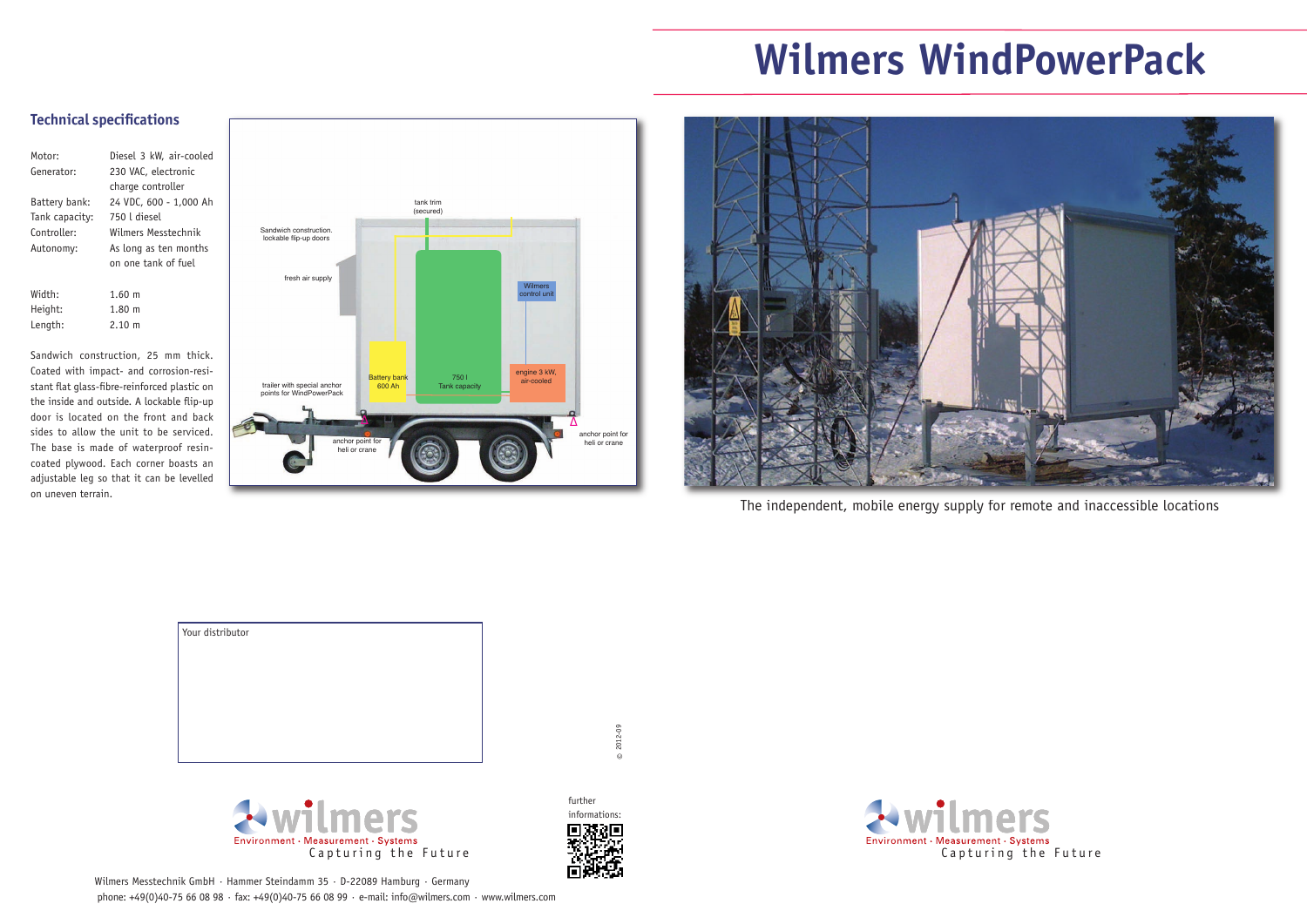The independent, mobile energy supply for remote and inaccessible locations





## **Technical specifications**

 $\odot$ 2012-09

| Motor:         | Diesel 3 kW, air-cooled |
|----------------|-------------------------|
| Generator:     | 230 VAC, electronic     |
|                | charge controller       |
| Battery bank:  | 24 VDC, 600 - 1,000 Ah  |
| Tank capacity: | 750 l diesel            |
| Controller:    | Wilmers Messtechnik     |
| Autonomy:      | As long as ten months   |
|                | on one tank of fuel     |
|                |                         |
| Width:         | $1.60 \; m$             |
| Height:        | $1.80 \text{ m}$        |
| Length:        | $2.10 \text{ m}$        |
|                |                         |

Wilmers Messtechnik GmbH · Hammer Steindamm 35 · D-22089 Hamburg · Germany phone: +49(0)40-75 66 08 98 · fax: +49(0)40-75 66 08 99 · e-mail: info@wilmers.com · www.wilmers.com



Sandwich construction, 25 mm thick. Coated with impact- and corrosion-resistant flat glass-fibre-reinforced plastic on the inside and outside. A lockable flip-up door is located on the front and back sides to allow the unit to be serviced. The base is made of waterproof resincoated plywood. Each corner boasts an adjustable leg so that it can be levelled on uneven terrain.

| Your distributor |  |
|------------------|--|
|                  |  |
|                  |  |
|                  |  |
|                  |  |
|                  |  |
|                  |  |
|                  |  |
|                  |  |

## **Wilmers WindPowerPack**